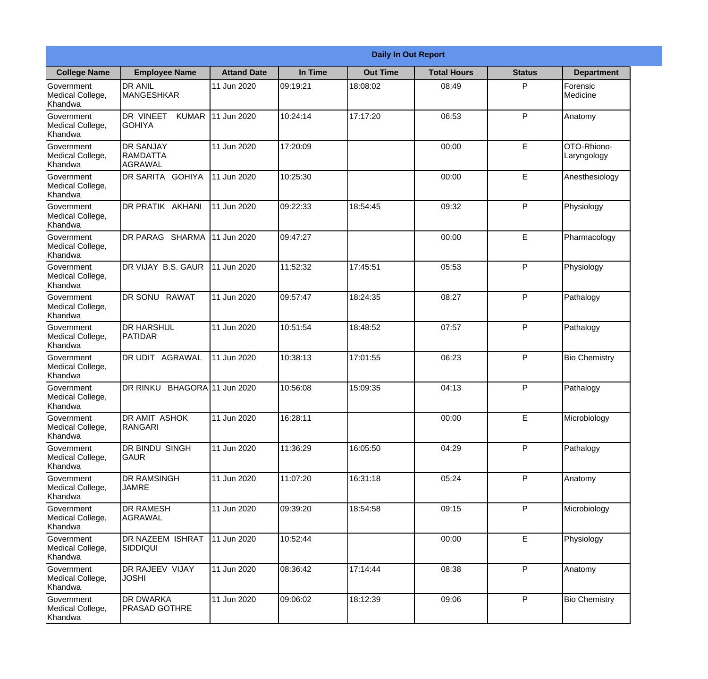|                                                  |                                                 |                     |          | <b>Daily In Out Report</b> |                    |               |                            |
|--------------------------------------------------|-------------------------------------------------|---------------------|----------|----------------------------|--------------------|---------------|----------------------------|
| <b>College Name</b>                              | <b>Employee Name</b>                            | <b>Attand Date</b>  | In Time  | <b>Out Time</b>            | <b>Total Hours</b> | <b>Status</b> | <b>Department</b>          |
| Government<br>Medical College,<br>Khandwa        | <b>DR ANIL</b><br><b>MANGESHKAR</b>             | 11 Jun 2020         | 09:19:21 | 18:08:02                   | 08:49              | P             | Forensic<br>Medicine       |
| Government<br>Medical College,<br>Khandwa        | DR VINEET<br><b>KUMAR</b><br><b>GOHIYA</b>      | 11 Jun 2020         | 10:24:14 | 17:17:20                   | 06:53              | P             | Anatomy                    |
| <b>Government</b><br>Medical College,<br>Khandwa | <b>IDR SANJAY</b><br><b>RAMDATTA</b><br>AGRAWAL | 11 Jun 2020         | 17:20:09 |                            | 00:00              | E             | OTO-Rhiono-<br>Laryngology |
| Government<br>Medical College,<br>Khandwa        | <b>DR SARITA GOHIYA</b>                         | 11 Jun 2020         | 10:25:30 |                            | 00:00              | E             | Anesthesiology             |
| Government<br>Medical College,<br>Khandwa        | <b>DR PRATIK AKHANI</b>                         | 11 Jun 2020         | 09:22:33 | 18:54:45                   | 09:32              | P             | Physiology                 |
| Government<br>Medical College,<br>Khandwa        | DR PARAG SHARMA                                 | 11 Jun 2020         | 09:47:27 |                            | 00:00              | E             | Pharmacology               |
| Government<br>Medical College,<br>Khandwa        | <b>IDR VIJAY B.S. GAUR</b>                      | 11 Jun 2020         | 11:52:32 | 17:45:51                   | 05:53              | P             | Physiology                 |
| Government<br>Medical College,<br>Khandwa        | DR SONU RAWAT                                   | 11 Jun 2020         | 09:57:47 | 18:24:35                   | 08:27              | P             | Pathalogy                  |
| Government<br>Medical College,<br>Khandwa        | <b>DR HARSHUL</b><br>PATIDAR                    | 11 Jun 2020         | 10:51:54 | 18:48:52                   | 07:57              | P             | Pathalogy                  |
| Government<br>Medical College,<br>Khandwa        | DR UDIT<br><b>AGRAWAL</b>                       | 11 Jun 2020         | 10:38:13 | 17:01:55                   | 06:23              | P             | <b>Bio Chemistry</b>       |
| Government<br>Medical College,<br>Khandwa        | <b>DR RINKU</b>                                 | BHAGORA 11 Jun 2020 | 10:56:08 | 15:09:35                   | 04:13              | $\mathsf{P}$  | Pathalogy                  |
| Government<br>Medical College,<br>Khandwa        | <b>DR AMIT ASHOK</b><br>RANGARI                 | 11 Jun 2020         | 16:28:11 |                            | 00:00              | E             | Microbiology               |
| Government<br>Medical College,<br>Khandwa        | DR BINDU SINGH<br><b>GAUR</b>                   | 11 Jun 2020         | 11:36:29 | 16:05:50                   | 04:29              | P             | Pathalogy                  |
| Government<br>Medical College,<br>Khandwa        | <b>DR RAMSINGH</b><br><b>JAMRE</b>              | 11 Jun 2020         | 11:07:20 | 16:31:18                   | 05:24              | P             | Anatomy                    |
| Government<br>Medical College,<br>Khandwa        | <b>DR RAMESH</b><br><b>AGRAWAL</b>              | 11 Jun 2020         | 09:39:20 | 18:54:58                   | 09:15              | $\mathsf{P}$  | Microbiology               |
| Government<br>Medical College,<br>Khandwa        | <b>DR NAZEEM ISHRAT</b><br>SIDDIQUI             | 11 Jun 2020         | 10:52:44 |                            | 00:00              | $\mathsf E$   | Physiology                 |
| Government<br>Medical College,<br>Khandwa        | <b>DR RAJEEV VIJAY</b><br><b>JOSHI</b>          | 11 Jun 2020         | 08:36:42 | 17:14:44                   | 08:38              | P             | Anatomy                    |
| Government<br>Medical College,<br>Khandwa        | <b>DR DWARKA</b><br><b>PRASAD GOTHRE</b>        | 11 Jun 2020         | 09:06:02 | 18:12:39                   | 09:06              | P             | <b>Bio Chemistry</b>       |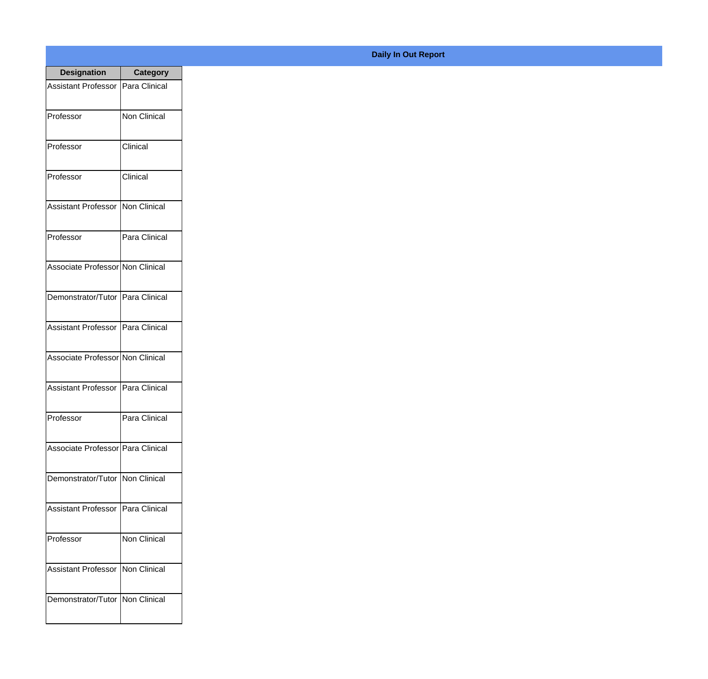| <b>Designation</b>                  | <b>Category</b> |
|-------------------------------------|-----------------|
| Assistant Professor   Para Clinical |                 |
| Professor                           | Non Clinical    |
| Professor                           | Clinical        |
| Professor                           | Clinical        |
| Assistant Professor   Non Clinical  |                 |
| Professor                           | Para Clinical   |
| Associate Professor Non Clinical    |                 |
| Demonstrator/Tutor   Para Clinical  |                 |
| Assistant Professor   Para Clinical |                 |
| Associate Professor Non Clinical    |                 |
| <b>Assistant Professor</b>          | Para Clinical   |
| Professor                           | Para Clinical   |
| Associate Professor Para Clinical   |                 |
| Demonstrator/Tutor   Non Clinical   |                 |
| Assistant Professor                 | Para Clinical   |
| Professor                           | Non Clinical    |
| <b>Assistant Professor</b>          | Non Clinical    |
| Demonstrator/Tutor   Non Clinical   |                 |

## **Daily In Out Report**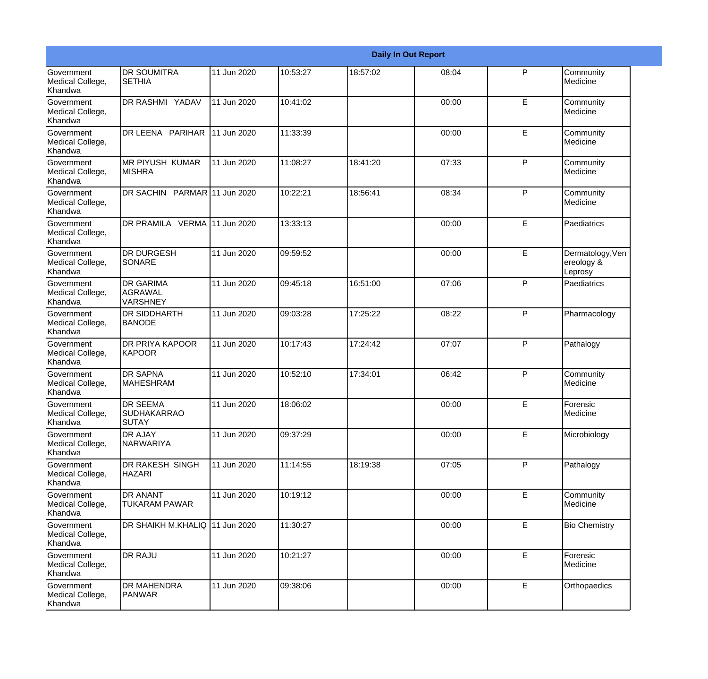|                                                         |                                                       |             |          |          | <b>Daily In Out Report</b> |              |                                           |
|---------------------------------------------------------|-------------------------------------------------------|-------------|----------|----------|----------------------------|--------------|-------------------------------------------|
| Government<br>Medical College,<br>Khandwa               | <b>DR SOUMITRA</b><br><b>SETHIA</b>                   | 11 Jun 2020 | 10:53:27 | 18:57:02 | 08:04                      | P            | Community<br>Medicine                     |
| Government<br>Medical College,<br>Khandwa               | DR RASHMI YADAV                                       | 11 Jun 2020 | 10:41:02 |          | 00:00                      | E            | Community<br>Medicine                     |
| <b>Government</b><br>Medical College,<br>Khandwa        | DR LEENA PARIHAR                                      | 11 Jun 2020 | 11:33:39 |          | 00:00                      | E            | Community<br>Medicine                     |
| <b>Government</b><br>Medical College,<br>Khandwa        | <b>MR PIYUSH KUMAR</b><br><b>MISHRA</b>               | 11 Jun 2020 | 11:08:27 | 18:41:20 | 07:33                      | P            | Community<br>Medicine                     |
| <b>Government</b><br>Medical College,<br>Khandwa        | DR SACHIN PARMAR 11 Jun 2020                          |             | 10:22:21 | 18:56:41 | 08:34                      | P            | Community<br>Medicine                     |
| <b>Government</b><br>Medical College,<br><b>Khandwa</b> | DR PRAMILA VERMA 11 Jun 2020                          |             | 13:33:13 |          | 00:00                      | E            | Paediatrics                               |
| <b>Government</b><br>Medical College,<br>Khandwa        | <b>DR DURGESH</b><br>SONARE                           | 11 Jun 2020 | 09:59:52 |          | 00:00                      | E            | Dermatology, Ven<br>ereology &<br>Leprosy |
| Government<br>Medical College,<br>Khandwa               | <b>DR GARIMA</b><br><b>AGRAWAL</b><br><b>VARSHNEY</b> | 11 Jun 2020 | 09:45:18 | 16:51:00 | 07:06                      | $\mathsf{P}$ | Paediatrics                               |
| Government<br>Medical College,<br>Khandwa               | <b>DR SIDDHARTH</b><br><b>BANODE</b>                  | 11 Jun 2020 | 09:03:28 | 17:25:22 | 08:22                      | P            | Pharmacology                              |
| <b>Government</b><br>Medical College,<br>Khandwa        | DR PRIYA KAPOOR<br>KAPOOR                             | 11 Jun 2020 | 10:17:43 | 17:24:42 | 07:07                      | P            | Pathalogy                                 |
| <b>Government</b><br>Medical College,<br><b>Khandwa</b> | <b>DR SAPNA</b><br><b>MAHESHRAM</b>                   | 11 Jun 2020 | 10:52:10 | 17:34:01 | 06:42                      | P            | Community<br>Medicine                     |
| Government<br>Medical College,<br>Khandwa               | <b>DR SEEMA</b><br><b>SUDHAKARRAO</b><br><b>SUTAY</b> | 11 Jun 2020 | 18:06:02 |          | 00:00                      | E            | Forensic<br>Medicine                      |
| Government<br>Medical College,<br>Khandwa               | <b>DR AJAY</b><br>NARWARIYA                           | 11 Jun 2020 | 09:37:29 |          | 00:00                      | E            | Microbiology                              |
| Government<br>Medical College,<br>Khandwa               | DR RAKESH SINGH<br><b>HAZARI</b>                      | 11 Jun 2020 | 11:14:55 | 18:19:38 | 07:05                      | P            | Pathalogy                                 |
| Government<br>Medical College,<br>Khandwa               | <b>DR ANANT</b><br><b>TUKARAM PAWAR</b>               | 11 Jun 2020 | 10:19:12 |          | 00:00                      | E            | Community<br>Medicine                     |
| Government<br>Medical College,<br>Khandwa               | DR SHAIKH M.KHALIQ 11 Jun 2020                        |             | 11:30:27 |          | 00:00                      | E            | <b>Bio Chemistry</b>                      |
| Government<br>Medical College,<br>Khandwa               | <b>DR RAJU</b>                                        | 11 Jun 2020 | 10:21:27 |          | 00:00                      | E            | Forensic<br>Medicine                      |
| Government<br>Medical College,<br>Khandwa               | <b>DR MAHENDRA</b><br>PANWAR                          | 11 Jun 2020 | 09:38:06 |          | 00:00                      | E            | Orthopaedics                              |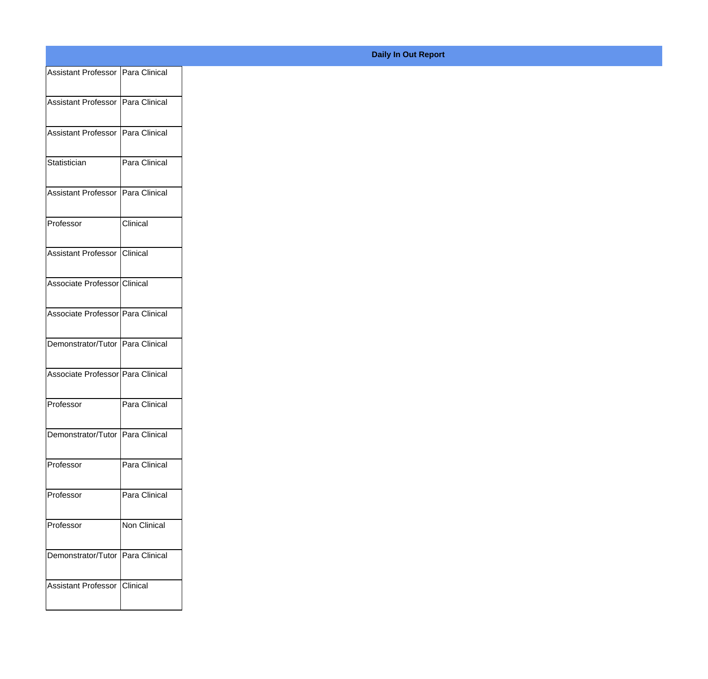| Assistant Professor   Para Clinical |               |
|-------------------------------------|---------------|
|                                     |               |
| Assistant Professor   Para Clinical |               |
| Assistant Professor Para Clinical   |               |
|                                     |               |
| Statistician                        | Para Clinical |
| Assistant Professor Para Clinical   |               |
|                                     |               |
| Professor                           | Clinical      |
| Assistant Professor Clinical        |               |
|                                     |               |
| Associate Professor Clinical        |               |
| Associate Professor   Para Clinical |               |
|                                     |               |
| Demonstrator/Tutor   Para Clinical  |               |
| Associate Professor Para Clinical   |               |
|                                     |               |
| Professor                           | Para Clinical |
| Demonstrator/Tutor Para Clinical    |               |
|                                     |               |
| Professor                           | Para Clinical |
| Professor                           | Para Clinical |
|                                     |               |
| Professor                           | Non Clinical  |
| Demonstrator/Tutor   Para Clinical  |               |
|                                     |               |
| Assistant Professor Clinical        |               |
|                                     |               |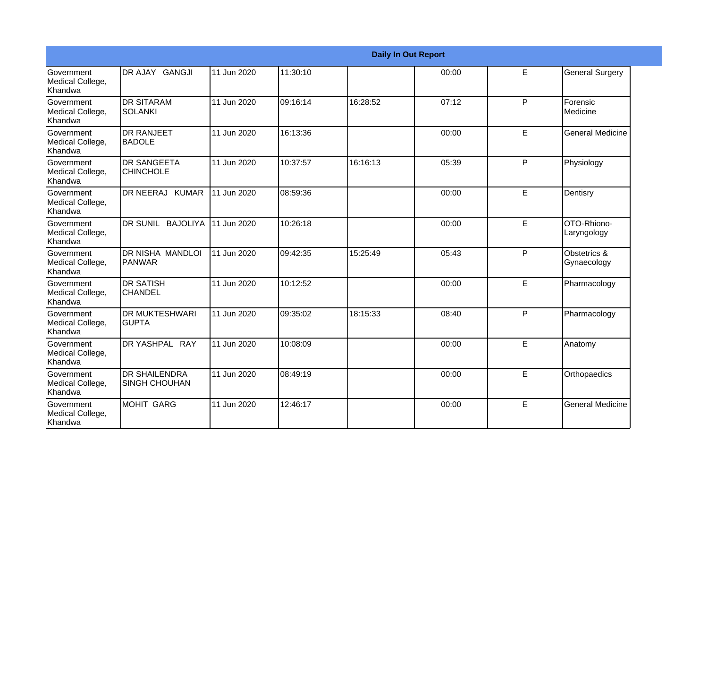|                                           |                                              |             |          | <b>Daily In Out Report</b> |       |   |                             |
|-------------------------------------------|----------------------------------------------|-------------|----------|----------------------------|-------|---|-----------------------------|
| Government<br>Medical College,<br>Khandwa | DR AJAY GANGJI                               | 11 Jun 2020 | 11:30:10 |                            | 00:00 | E | <b>General Surgery</b>      |
| Government<br>Medical College,<br>Khandwa | <b>IDR SITARAM</b><br><b>SOLANKI</b>         | 11 Jun 2020 | 09:16:14 | 16:28:52                   | 07:12 | P | Forensic<br>Medicine        |
| Government<br>Medical College,<br>Khandwa | <b>I</b> DR RANJEET<br><b>BADOLE</b>         | 11 Jun 2020 | 16:13:36 |                            | 00:00 | E | <b>General Medicine</b>     |
| Government<br>Medical College,<br>Khandwa | <b>DR SANGEETA</b><br><b>CHINCHOLE</b>       | 11 Jun 2020 | 10:37:57 | 16:16:13                   | 05:39 | P | Physiology                  |
| Government<br>Medical College,<br>Khandwa | DR NEERAJ KUMAR                              | 11 Jun 2020 | 08:59:36 |                            | 00:00 | E | Dentisry                    |
| Government<br>Medical College,<br>Khandwa | DR SUNIL BAJOLIYA                            | 11 Jun 2020 | 10:26:18 |                            | 00:00 | E | OTO-Rhiono-<br>Laryngology  |
| Government<br>Medical College,<br>Khandwa | IDR NISHA MANDLOI<br><b>PANWAR</b>           | 11 Jun 2020 | 09:42:35 | 15:25:49                   | 05:43 | P | Obstetrics &<br>Gynaecology |
| Government<br>Medical College,<br>Khandwa | <b>DR SATISH</b><br><b>CHANDEL</b>           | 11 Jun 2020 | 10:12:52 |                            | 00:00 | E | Pharmacology                |
| Government<br>Medical College,<br>Khandwa | <b>DR MUKTESHWARI</b><br><b>GUPTA</b>        | 11 Jun 2020 | 09:35:02 | 18:15:33                   | 08:40 | P | Pharmacology                |
| Government<br>Medical College,<br>Khandwa | DR YASHPAL RAY                               | 11 Jun 2020 | 10:08:09 |                            | 00:00 | E | Anatomy                     |
| Government<br>Medical College,<br>Khandwa | <b>DR SHAILENDRA</b><br><b>SINGH CHOUHAN</b> | 11 Jun 2020 | 08:49:19 |                            | 00:00 | E | Orthopaedics                |
| Government<br>Medical College,<br>Khandwa | <b>MOHIT GARG</b>                            | 11 Jun 2020 | 12:46:17 |                            | 00:00 | E | <b>General Medicine</b>     |